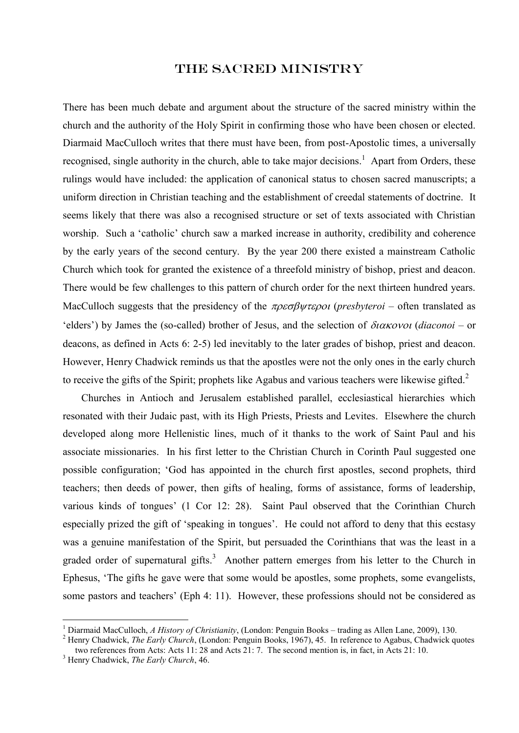## The Sacred Ministry

There has been much debate and argument about the structure of the sacred ministry within the church and the authority of the Holy Spirit in confirming those who have been chosen or elected. Diarmaid MacCulloch writes that there must have been, from post-Apostolic times, a universally recognised, single authority in the church, able to take major decisions.<sup>1</sup> Apart from Orders, these rulings would have included: the application of canonical status to chosen sacred manuscripts; a uniform direction in Christian teaching and the establishment of creedal statements of doctrine. It seems likely that there was also a recognised structure or set of texts associated with Christian worship. Such a 'catholic' church saw a marked increase in authority, credibility and coherence by the early years of the second century. By the year 200 there existed a mainstream Catholic Church which took for granted the existence of a threefold ministry of bishop, priest and deacon. There would be few challenges to this pattern of church order for the next thirteen hundred years. MacCulloch suggests that the presidency of the  $\pi \rho \epsilon \sigma \beta \psi \tau \epsilon \rho o \iota$  (*presbyteroi* – often translated as 'elders') by James the (so-called) brother of Jesus, and the selection of  $\delta u \alpha \kappa o \nu o \iota (diagonal - or$ deacons, as defined in Acts 6: 2-5) led inevitably to the later grades of bishop, priest and deacon. However, Henry Chadwick reminds us that the apostles were not the only ones in the early church to receive the gifts of the Spirit; prophets like Agabus and various teachers were likewise gifted. $2$ 

Churches in Antioch and Jerusalem established parallel, ecclesiastical hierarchies which resonated with their Judaic past, with its High Priests, Priests and Levites. Elsewhere the church developed along more Hellenistic lines, much of it thanks to the work of Saint Paul and his associate missionaries. In his first letter to the Christian Church in Corinth Paul suggested one possible configuration; 'God has appointed in the church first apostles, second prophets, third teachers; then deeds of power, then gifts of healing, forms of assistance, forms of leadership, various kinds of tongues' (1 Cor 12: 28). Saint Paul observed that the Corinthian Church especially prized the gift of 'speaking in tongues'. He could not afford to deny that this ecstasy was a genuine manifestation of the Spirit, but persuaded the Corinthians that was the least in a graded order of supernatural gifts.<sup>3</sup> Another pattern emerges from his letter to the Church in Ephesus, 'The gifts he gave were that some would be apostles, some prophets, some evangelists, some pastors and teachers' (Eph 4: 11). However, these professions should not be considered as

<sup>1</sup> Diarmaid MacCulloch, *A History of Christianity*, (London: Penguin Books – trading as Allen Lane, 2009), 130.

<sup>&</sup>lt;sup>2</sup> Henry Chadwick, *The Early Church*, (London: Penguin Books, 1967), 45. In reference to Agabus, Chadwick quotes two references from Acts: Acts 11: 28 and Acts 21: 7. The second mention is, in fact, in Acts 21: 10.

<sup>3</sup> Henry Chadwick, *The Early Church*, 46.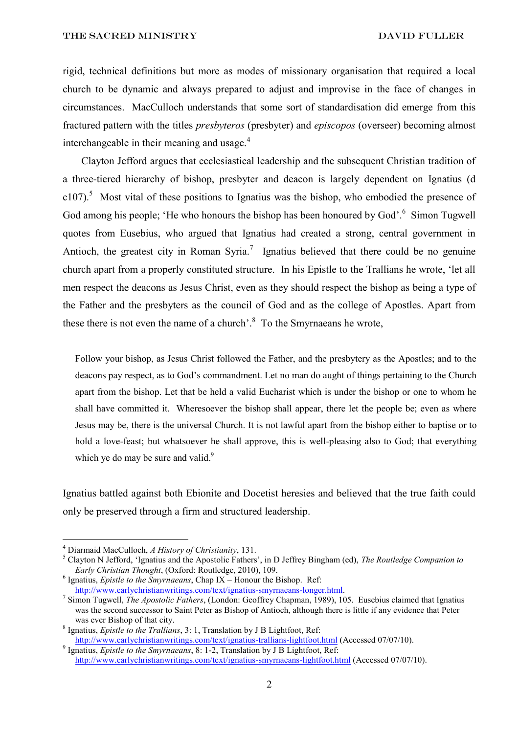rigid, technical definitions but more as modes of missionary organisation that required a local church to be dynamic and always prepared to adjust and improvise in the face of changes in circumstances. MacCulloch understands that some sort of standardisation did emerge from this fractured pattern with the titles *presbyteros* (presbyter) and *episcopos* (overseer) becoming almost interchangeable in their meaning and usage.<sup>4</sup>

Clayton Jefford argues that ecclesiastical leadership and the subsequent Christian tradition of a three-tiered hierarchy of bishop, presbyter and deacon is largely dependent on Ignatius (d  $c107$ ).<sup>5</sup> Most vital of these positions to Ignatius was the bishop, who embodied the presence of God among his people; 'He who honours the bishop has been honoured by God'.<sup>6</sup> Simon Tugwell quotes from Eusebius, who argued that Ignatius had created a strong, central government in Antioch, the greatest city in Roman Syria.<sup>7</sup> Ignatius believed that there could be no genuine church apart from a properly constituted structure. In his Epistle to the Trallians he wrote, 'let all men respect the deacons as Jesus Christ, even as they should respect the bishop as being a type of the Father and the presbyters as the council of God and as the college of Apostles. Apart from these there is not even the name of a church'.<sup>8</sup> To the Smyrnaeans he wrote,

Follow your bishop, as Jesus Christ followed the Father, and the presbytery as the Apostles; and to the deacons pay respect, as to God's commandment. Let no man do aught of things pertaining to the Church apart from the bishop. Let that be held a valid Eucharist which is under the bishop or one to whom he shall have committed it. Wheresoever the bishop shall appear, there let the people be; even as where Jesus may be, there is the universal Church. It is not lawful apart from the bishop either to baptise or to hold a love-feast; but whatsoever he shall approve, this is well-pleasing also to God; that everything which ye do may be sure and valid. $9$ 

Ignatius battled against both Ebionite and Docetist heresies and believed that the true faith could only be preserved through a firm and structured leadership.

<sup>4</sup> Diarmaid MacCulloch, *A History of Christianity*, 131.

<sup>5</sup> Clayton N Jefford, 'Ignatius and the Apostolic Fathers', in D Jeffrey Bingham (ed), *The Routledge Companion to Early Christian Thought*, (Oxford: Routledge, 2010), 109.

<sup>6</sup> Ignatius, *Epistle to the Smyrnaeans*, Chap IX – Honour the Bishop. Ref: [http://www.earlychristianwritings.com/text/ignatius-smyrnaeans-longer.html.](http://www.earlychristianwritings.com/text/ignatius-smyrnaeans-longer.html)

<sup>7</sup> Simon Tugwell, *The Apostolic Fathers*, (London: Geoffrey Chapman, 1989), 105. Eusebius claimed that Ignatius was the second successor to Saint Peter as Bishop of Antioch, although there is little if any evidence that Peter was ever Bishop of that city.

<sup>8</sup> Ignatius, *Epistle to the Trallians*, 3: 1, Translation by J B Lightfoot, Ref: <http://www.earlychristianwritings.com/text/ignatius-trallians-lightfoot.html> (Accessed 07/07/10).

<sup>9</sup> Ignatius, *Epistle to the Smyrnaeans*, 8: 1-2, Translation by J B Lightfoot, Ref: <http://www.earlychristianwritings.com/text/ignatius-smyrnaeans-lightfoot.html> (Accessed 07/07/10).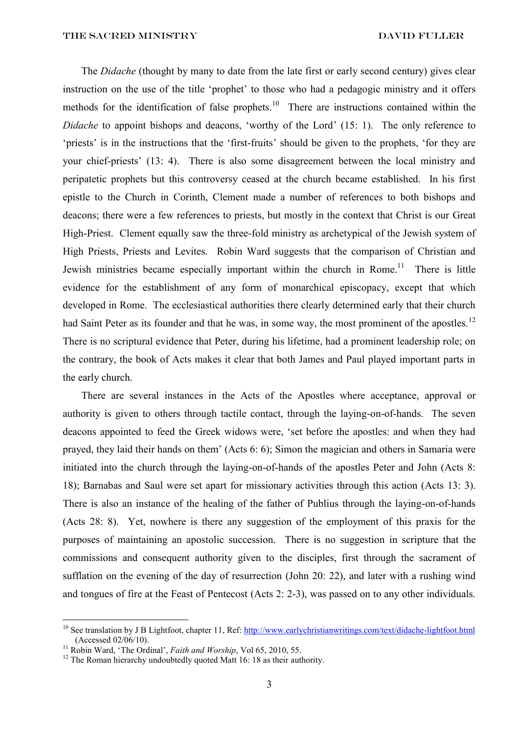The *Didache* (thought by many to date from the late first or early second century) gives clear instruction on the use of the title 'prophet' to those who had a pedagogic ministry and it offers methods for the identification of false prophets.<sup>10</sup> There are instructions contained within the *Didache* to appoint bishops and deacons, 'worthy of the Lord' (15: 1). The only reference to 'priests' is in the instructions that the 'first-fruits' should be given to the prophets, 'for they are your chief-priests' (13: 4). There is also some disagreement between the local ministry and peripatetic prophets but this controversy ceased at the church became established. In his first epistle to the Church in Corinth, Clement made a number of references to both bishops and deacons; there were a few references to priests, but mostly in the context that Christ is our Great High-Priest. Clement equally saw the three-fold ministry as archetypical of the Jewish system of High Priests, Priests and Levites. Robin Ward suggests that the comparison of Christian and Jewish ministries became especially important within the church in Rome.<sup>11</sup> There is little evidence for the establishment of any form of monarchical episcopacy, except that which developed in Rome. The ecclesiastical authorities there clearly determined early that their church had Saint Peter as its founder and that he was, in some way, the most prominent of the apostles.<sup>12</sup> There is no scriptural evidence that Peter, during his lifetime, had a prominent leadership role; on the contrary, the book of Acts makes it clear that both James and Paul played important parts in the early church.

There are several instances in the Acts of the Apostles where acceptance, approval or authority is given to others through tactile contact, through the laying-on-of-hands. The seven deacons appointed to feed the Greek widows were, 'set before the apostles: and when they had prayed, they laid their hands on them' (Acts 6: 6); Simon the magician and others in Samaria were initiated into the church through the laying-on-of-hands of the apostles Peter and John (Acts 8: 18); Barnabas and Saul were set apart for missionary activities through this action (Acts 13: 3). There is also an instance of the healing of the father of Publius through the laying-on-of-hands (Acts 28: 8). Yet, nowhere is there any suggestion of the employment of this praxis for the purposes of maintaining an apostolic succession. There is no suggestion in scripture that the commissions and consequent authority given to the disciples, first through the sacrament of sufflation on the evening of the day of resurrection (John 20: 22), and later with a rushing wind and tongues of fire at the Feast of Pentecost (Acts 2: 2-3), was passed on to any other individuals.

<sup>&</sup>lt;sup>10</sup> See translation by J B Lightfoot, chapter 11, Ref:  $\frac{http://www.earlychristianwritings.com/text/didache-lightfoot.html}{http://www.earlychristianwritings.com/text/didache-lightfoot.html}$ (Accessed 02/06/10).

<sup>11</sup> Robin Ward, 'The Ordinal', *Faith and Worship*, Vol 65, 2010, 55.

 $12$  The Roman hierarchy undoubtedly quoted Matt 16: 18 as their authority.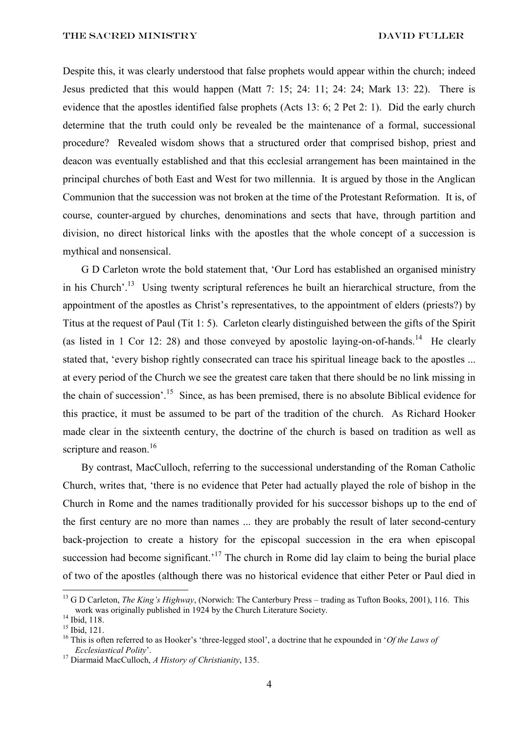Despite this, it was clearly understood that false prophets would appear within the church; indeed Jesus predicted that this would happen (Matt 7: 15; 24: 11; 24: 24; Mark 13: 22). There is evidence that the apostles identified false prophets (Acts 13: 6; 2 Pet 2: 1). Did the early church determine that the truth could only be revealed be the maintenance of a formal, successional procedure? Revealed wisdom shows that a structured order that comprised bishop, priest and deacon was eventually established and that this ecclesial arrangement has been maintained in the principal churches of both East and West for two millennia. It is argued by those in the Anglican Communion that the succession was not broken at the time of the Protestant Reformation. It is, of course, counter-argued by churches, denominations and sects that have, through partition and division, no direct historical links with the apostles that the whole concept of a succession is mythical and nonsensical.

G D Carleton wrote the bold statement that, 'Our Lord has established an organised ministry in his Church'.<sup>13</sup> Using twenty scriptural references he built an hierarchical structure, from the appointment of the apostles as Christ's representatives, to the appointment of elders (priests?) by Titus at the request of Paul (Tit 1: 5). Carleton clearly distinguished between the gifts of the Spirit (as listed in 1 Cor 12: 28) and those conveyed by apostolic laying-on-of-hands.<sup>14</sup> He clearly stated that, 'every bishop rightly consecrated can trace his spiritual lineage back to the apostles ... at every period of the Church we see the greatest care taken that there should be no link missing in the chain of succession'.<sup>15</sup> Since, as has been premised, there is no absolute Biblical evidence for this practice, it must be assumed to be part of the tradition of the church. As Richard Hooker made clear in the sixteenth century, the doctrine of the church is based on tradition as well as scripture and reason.<sup>16</sup>

By contrast, MacCulloch, referring to the successional understanding of the Roman Catholic Church, writes that, 'there is no evidence that Peter had actually played the role of bishop in the Church in Rome and the names traditionally provided for his successor bishops up to the end of the first century are no more than names ... they are probably the result of later second-century back-projection to create a history for the episcopal succession in the era when episcopal succession had become significant.<sup> $17$ </sup> The church in Rome did lay claim to being the burial place of two of the apostles (although there was no historical evidence that either Peter or Paul died in

<sup>&</sup>lt;sup>13</sup> G D Carleton, *The King's Highway*, (Norwich: The Canterbury Press – trading as Tufton Books, 2001), 116. This work was originally published in 1924 by the Church Literature Society.

<sup>&</sup>lt;sup>14</sup> Ibid, 118.

 $15$  Ibid. 121.

<sup>16</sup> This is often referred to as Hooker's 'three-legged stool', a doctrine that he expounded in '*Of the Laws of Ecclesiastical Polity*'.

<sup>17</sup> Diarmaid MacCulloch, *A History of Christianity*, 135.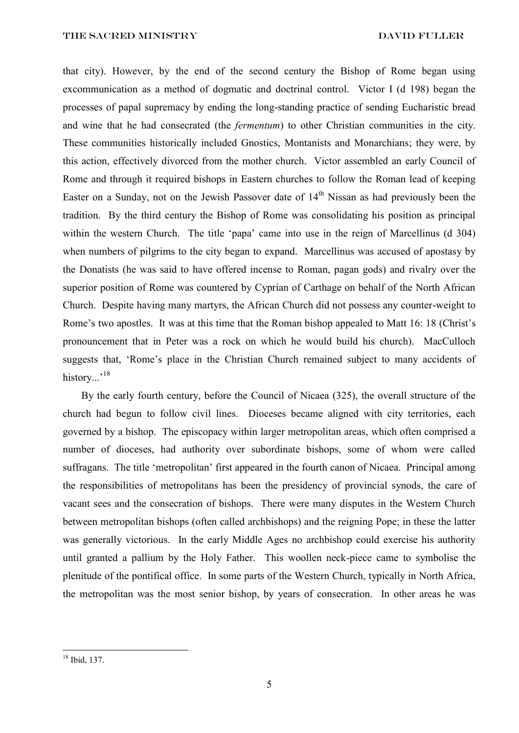that city). However, by the end of the second century the Bishop of Rome began using excommunication as a method of dogmatic and doctrinal control. Victor I (d 198) began the processes of papal supremacy by ending the long-standing practice of sending Eucharistic bread and wine that he had consecrated (the *fermentum*) to other Christian communities in the city. These communities historically included Gnostics, Montanists and Monarchians; they were, by this action, effectively divorced from the mother church. Victor assembled an early Council of Rome and through it required bishops in Eastern churches to follow the Roman lead of keeping Easter on a Sunday, not on the Jewish Passover date of  $14<sup>th</sup>$  Nissan as had previously been the tradition. By the third century the Bishop of Rome was consolidating his position as principal within the western Church. The title 'papa' came into use in the reign of Marcellinus (d 304) when numbers of pilgrims to the city began to expand. Marcellinus was accused of apostasy by the Donatists (he was said to have offered incense to Roman, pagan gods) and rivalry over the superior position of Rome was countered by Cyprian of Carthage on behalf of the North African Church. Despite having many martyrs, the African Church did not possess any counter-weight to Rome's two apostles. It was at this time that the Roman bishop appealed to Matt 16: 18 (Christ's pronouncement that in Peter was a rock on which he would build his church). MacCulloch suggests that, 'Rome's place in the Christian Church remained subject to many accidents of history...'<sup>18</sup>

By the early fourth century, before the Council of Nicaea (325), the overall structure of the church had begun to follow civil lines. Dioceses became aligned with city territories, each governed by a bishop. The episcopacy within larger metropolitan areas, which often comprised a number of dioceses, had authority over subordinate bishops, some of whom were called suffragans. The title 'metropolitan' first appeared in the fourth canon of Nicaea. Principal among the responsibilities of metropolitans has been the presidency of provincial synods, the care of vacant sees and the consecration of bishops. There were many disputes in the Western Church between metropolitan bishops (often called archbishops) and the reigning Pope; in these the latter was generally victorious. In the early Middle Ages no archbishop could exercise his authority until granted a pallium by the Holy Father. This woollen neck-piece came to symbolise the plenitude of the pontifical office. In some parts of the Western Church, typically in North Africa, the metropolitan was the most senior bishop, by years of consecration. In other areas he was

<sup>18</sup> Ibid, 137.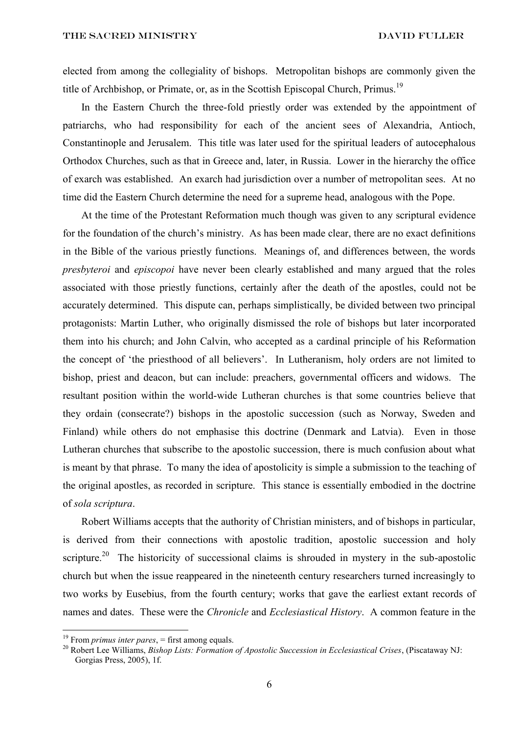elected from among the collegiality of bishops. Metropolitan bishops are commonly given the title of Archbishop, or Primate, or, as in the Scottish Episcopal Church, Primus.<sup>19</sup>

In the Eastern Church the three-fold priestly order was extended by the appointment of patriarchs, who had responsibility for each of the ancient sees of Alexandria, Antioch, Constantinople and Jerusalem. This title was later used for the spiritual leaders of autocephalous Orthodox Churches, such as that in Greece and, later, in Russia. Lower in the hierarchy the office of exarch was established. An exarch had jurisdiction over a number of metropolitan sees. At no time did the Eastern Church determine the need for a supreme head, analogous with the Pope.

At the time of the Protestant Reformation much though was given to any scriptural evidence for the foundation of the church's ministry. As has been made clear, there are no exact definitions in the Bible of the various priestly functions. Meanings of, and differences between, the words *presbyteroi* and *episcopoi* have never been clearly established and many argued that the roles associated with those priestly functions, certainly after the death of the apostles, could not be accurately determined. This dispute can, perhaps simplistically, be divided between two principal protagonists: Martin Luther, who originally dismissed the role of bishops but later incorporated them into his church; and John Calvin, who accepted as a cardinal principle of his Reformation the concept of 'the priesthood of all believers'. In Lutheranism, holy orders are not limited to bishop, priest and deacon, but can include: preachers, governmental officers and widows. The resultant position within the world-wide Lutheran churches is that some countries believe that they ordain (consecrate?) bishops in the apostolic succession (such as Norway, Sweden and Finland) while others do not emphasise this doctrine (Denmark and Latvia). Even in those Lutheran churches that subscribe to the apostolic succession, there is much confusion about what is meant by that phrase. To many the idea of apostolicity is simple a submission to the teaching of the original apostles, as recorded in scripture. This stance is essentially embodied in the doctrine of *sola scriptura*.

Robert Williams accepts that the authority of Christian ministers, and of bishops in particular, is derived from their connections with apostolic tradition, apostolic succession and holy scripture.<sup>20</sup> The historicity of successional claims is shrouded in mystery in the sub-apostolic church but when the issue reappeared in the nineteenth century researchers turned increasingly to two works by Eusebius, from the fourth century; works that gave the earliest extant records of names and dates. These were the *Chronicle* and *Ecclesiastical History*. A common feature in the

<sup>&</sup>lt;sup>19</sup> From *primus inter pares*,  $=$  first among equals.

<sup>20</sup> Robert Lee Williams, *Bishop Lists: Formation of Apostolic Succession in Ecclesiastical Crises*, (Piscataway NJ: Gorgias Press, 2005), 1f.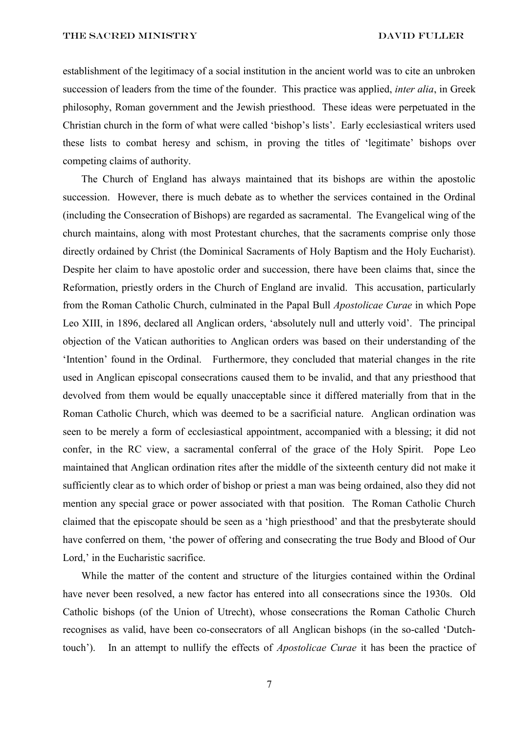THE SACRED MINISTRY DAVID FULLER

establishment of the legitimacy of a social institution in the ancient world was to cite an unbroken succession of leaders from the time of the founder. This practice was applied, *inter alia*, in Greek philosophy, Roman government and the Jewish priesthood. These ideas were perpetuated in the Christian church in the form of what were called 'bishop's lists'. Early ecclesiastical writers used these lists to combat heresy and schism, in proving the titles of 'legitimate' bishops over competing claims of authority.

The Church of England has always maintained that its bishops are within the apostolic succession. However, there is much debate as to whether the services contained in the Ordinal (including the Consecration of Bishops) are regarded as sacramental. The Evangelical wing of the church maintains, along with most Protestant churches, that the sacraments comprise only those directly ordained by Christ (the Dominical Sacraments of Holy Baptism and the Holy Eucharist). Despite her claim to have apostolic order and succession, there have been claims that, since the Reformation, priestly orders in the Church of England are invalid. This accusation, particularly from the Roman Catholic Church, culminated in the Papal Bull *Apostolicae Curae* in which Pope Leo XIII, in 1896, declared all Anglican orders, 'absolutely null and utterly void'. The principal objection of the Vatican authorities to Anglican orders was based on their understanding of the 'Intention' found in the Ordinal. Furthermore, they concluded that material changes in the rite used in Anglican episcopal consecrations caused them to be invalid, and that any priesthood that devolved from them would be equally unacceptable since it differed materially from that in the Roman Catholic Church, which was deemed to be a sacrificial nature. Anglican ordination was seen to be merely a form of ecclesiastical appointment, accompanied with a blessing; it did not confer, in the RC view, a sacramental conferral of the grace of the Holy Spirit. Pope Leo maintained that Anglican ordination rites after the middle of the sixteenth century did not make it sufficiently clear as to which order of bishop or priest a man was being ordained, also they did not mention any special grace or power associated with that position. The Roman Catholic Church claimed that the episcopate should be seen as a 'high priesthood' and that the presbyterate should have conferred on them, 'the power of offering and consecrating the true Body and Blood of Our Lord,' in the Eucharistic sacrifice.

While the matter of the content and structure of the liturgies contained within the Ordinal have never been resolved, a new factor has entered into all consecrations since the 1930s. Old Catholic bishops (of the Union of Utrecht), whose consecrations the Roman Catholic Church recognises as valid, have been co-consecrators of all Anglican bishops (in the so-called 'Dutchtouch'). In an attempt to nullify the effects of *Apostolicae Curae* it has been the practice of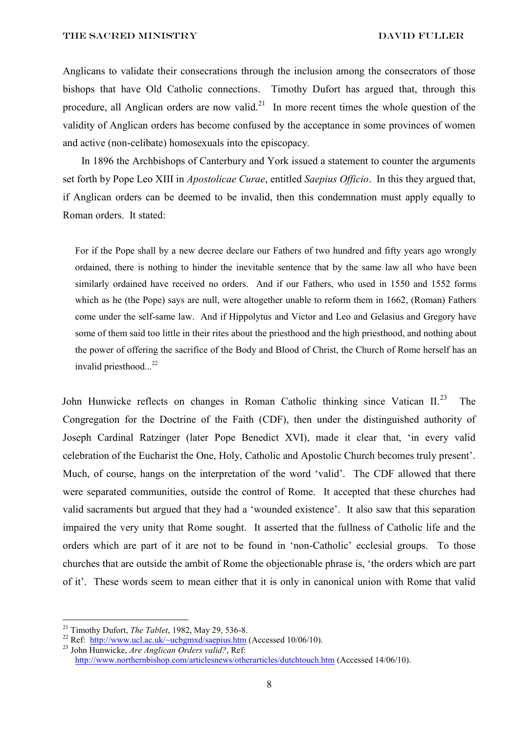Anglicans to validate their consecrations through the inclusion among the consecrators of those bishops that have Old Catholic connections. Timothy Dufort has argued that, through this procedure, all Anglican orders are now valid.<sup>21</sup> In more recent times the whole question of the validity of Anglican orders has become confused by the acceptance in some provinces of women and active (non-celibate) homosexuals into the episcopacy.

In 1896 the Archbishops of Canterbury and York issued a statement to counter the arguments set forth by Pope Leo XIII in *Apostolicae Curae*, entitled *Saepius Officio*. In this they argued that, if Anglican orders can be deemed to be invalid, then this condemnation must apply equally to Roman orders. It stated:

For if the Pope shall by a new decree declare our Fathers of two hundred and fifty years ago wrongly ordained, there is nothing to hinder the inevitable sentence that by the same law all who have been similarly ordained have received no orders. And if our Fathers, who used in 1550 and 1552 forms which as he (the Pope) says are null, were altogether unable to reform them in 1662, (Roman) Fathers come under the self-same law. And if Hippolytus and Victor and Leo and Gelasius and Gregory have some of them said too little in their rites about the priesthood and the high priesthood, and nothing about the power of offering the sacrifice of the Body and Blood of Christ, the Church of Rome herself has an invalid priesthood...<sup>22</sup>

John Hunwicke reflects on changes in Roman Catholic thinking since Vatican  $II^{23}$ . The Congregation for the Doctrine of the Faith (CDF), then under the distinguished authority of Joseph Cardinal Ratzinger (later Pope Benedict XVI), made it clear that, 'in every valid celebration of the Eucharist the One, Holy, Catholic and Apostolic Church becomes truly present'. Much, of course, hangs on the interpretation of the word 'valid'. The CDF allowed that there were separated communities, outside the control of Rome. It accepted that these churches had valid sacraments but argued that they had a 'wounded existence'. It also saw that this separation impaired the very unity that Rome sought. It asserted that the fullness of Catholic life and the orders which are part of it are not to be found in 'non-Catholic' ecclesial groups. To those churches that are outside the ambit of Rome the objectionable phrase is, 'the orders which are part of it'. These words seem to mean either that it is only in canonical union with Rome that valid

<sup>21</sup> Timothy Dufort, *The Tablet*, 1982, May 29, 536-8.

<sup>&</sup>lt;sup>22</sup> Ref: http://www.ucl.ac.uk/ $\sim$ ucbgmxd/saepius.htm (Accessed 10/06/10).

<sup>23</sup> John Hunwicke, *Are Anglican Orders valid?*, Ref: <http://www.northernbishop.com/articlesnews/otherarticles/dutchtouch.htm> (Accessed 14/06/10).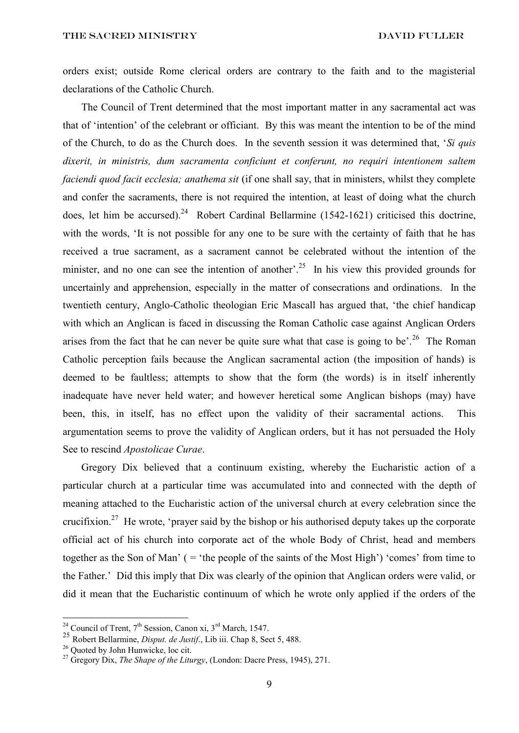orders exist; outside Rome clerical orders are contrary to the faith and to the magisterial declarations of the Catholic Church.

The Council of Trent determined that the most important matter in any sacramental act was that of 'intention' of the celebrant or officiant. By this was meant the intention to be of the mind of the Church, to do as the Church does. In the seventh session it was determined that, '*Si quis dixerit, in ministris, dum sacramenta conficiunt et conferunt, no requiri intentionem saltem faciendi quod facit ecclesia; anathema sit* (if one shall say, that in ministers, whilst they complete and confer the sacraments, there is not required the intention, at least of doing what the church does, let him be accursed).<sup>24</sup> Robert Cardinal Bellarmine (1542-1621) criticised this doctrine, with the words, 'It is not possible for any one to be sure with the certainty of faith that he has received a true sacrament, as a sacrament cannot be celebrated without the intention of the minister, and no one can see the intention of another'.<sup>25</sup> In his view this provided grounds for uncertainly and apprehension, especially in the matter of consecrations and ordinations. In the twentieth century, Anglo-Catholic theologian Eric Mascall has argued that, 'the chief handicap with which an Anglican is faced in discussing the Roman Catholic case against Anglican Orders arises from the fact that he can never be quite sure what that case is going to be'.<sup>26</sup> The Roman Catholic perception fails because the Anglican sacramental action (the imposition of hands) is deemed to be faultless; attempts to show that the form (the words) is in itself inherently inadequate have never held water; and however heretical some Anglican bishops (may) have been, this, in itself, has no effect upon the validity of their sacramental actions. This argumentation seems to prove the validity of Anglican orders, but it has not persuaded the Holy See to rescind *Apostolicae Curae*.

Gregory Dix believed that a continuum existing, whereby the Eucharistic action of a particular church at a particular time was accumulated into and connected with the depth of meaning attached to the Eucharistic action of the universal church at every celebration since the crucifixion.<sup>27</sup> He wrote, 'prayer said by the bishop or his authorised deputy takes up the corporate official act of his church into corporate act of the whole Body of Christ, head and members together as the Son of Man' ( = 'the people of the saints of the Most High') 'comes' from time to the Father.' Did this imply that Dix was clearly of the opinion that Anglican orders were valid, or did it mean that the Eucharistic continuum of which he wrote only applied if the orders of the

<sup>&</sup>lt;sup>24</sup> Council of Trent,  $7<sup>th</sup>$  Session, Canon xi,  $3<sup>rd</sup>$  March, 1547.

<sup>25</sup> Robert Bellarmine, *Disput. de Justif*., Lib iii. Chap 8, Sect 5, 488.

<sup>&</sup>lt;sup>26</sup> Ouoted by John Hunwicke, loc cit.

<sup>27</sup> Gregory Dix, *The Shape of the Liturgy*, (London: Dacre Press, 1945), 271.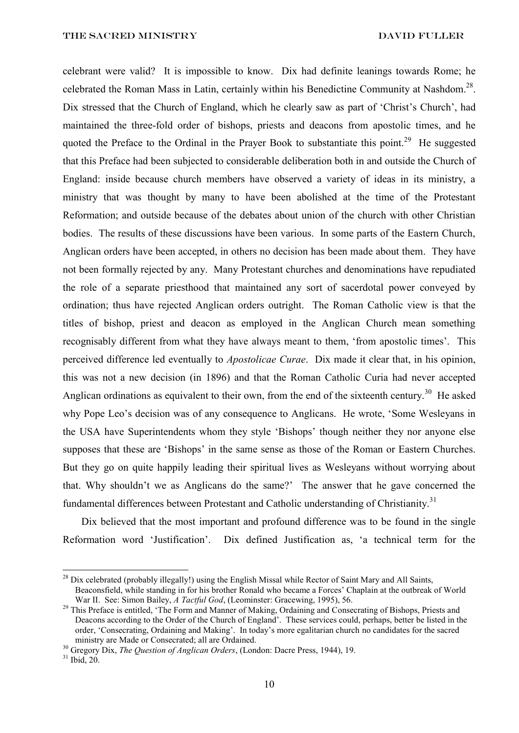celebrant were valid? It is impossible to know. Dix had definite leanings towards Rome; he celebrated the Roman Mass in Latin, certainly within his Benedictine Community at Nashdom.<sup>28</sup>. Dix stressed that the Church of England, which he clearly saw as part of 'Christ's Church', had maintained the three-fold order of bishops, priests and deacons from apostolic times, and he quoted the Preface to the Ordinal in the Prayer Book to substantiate this point.<sup>29</sup> He suggested that this Preface had been subjected to considerable deliberation both in and outside the Church of England: inside because church members have observed a variety of ideas in its ministry, a ministry that was thought by many to have been abolished at the time of the Protestant Reformation; and outside because of the debates about union of the church with other Christian bodies. The results of these discussions have been various. In some parts of the Eastern Church, Anglican orders have been accepted, in others no decision has been made about them. They have not been formally rejected by any. Many Protestant churches and denominations have repudiated the role of a separate priesthood that maintained any sort of sacerdotal power conveyed by ordination; thus have rejected Anglican orders outright. The Roman Catholic view is that the titles of bishop, priest and deacon as employed in the Anglican Church mean something recognisably different from what they have always meant to them, 'from apostolic times'. This perceived difference led eventually to *Apostolicae Curae*. Dix made it clear that, in his opinion, this was not a new decision (in 1896) and that the Roman Catholic Curia had never accepted Anglican ordinations as equivalent to their own, from the end of the sixteenth century.<sup>30</sup> He asked why Pope Leo's decision was of any consequence to Anglicans. He wrote, 'Some Wesleyans in the USA have Superintendents whom they style 'Bishops' though neither they nor anyone else supposes that these are 'Bishops' in the same sense as those of the Roman or Eastern Churches. But they go on quite happily leading their spiritual lives as Wesleyans without worrying about that. Why shouldn't we as Anglicans do the same?' The answer that he gave concerned the fundamental differences between Protestant and Catholic understanding of Christianity.<sup>31</sup>

Dix believed that the most important and profound difference was to be found in the single Reformation word 'Justification'. Dix defined Justification as, 'a technical term for the

<sup>&</sup>lt;sup>28</sup> Dix celebrated (probably illegally!) using the English Missal while Rector of Saint Mary and All Saints, Beaconsfield, while standing in for his brother Ronald who became a Forces' Chaplain at the outbreak of World War II. See: Simon Bailey, *A Tactful God*, (Leominster: Gracewing, 1995), 56.

<sup>&</sup>lt;sup>29</sup> This Preface is entitled, 'The Form and Manner of Making, Ordaining and Consecrating of Bishops, Priests and Deacons according to the Order of the Church of England'. These services could, perhaps, better be listed in the order, 'Consecrating, Ordaining and Making'. In today's more egalitarian church no candidates for the sacred ministry are Made or Consecrated; all are Ordained.

<sup>30</sup> Gregory Dix, *The Question of Anglican Orders*, (London: Dacre Press, 1944), 19.

 $31$  Ibid, 20.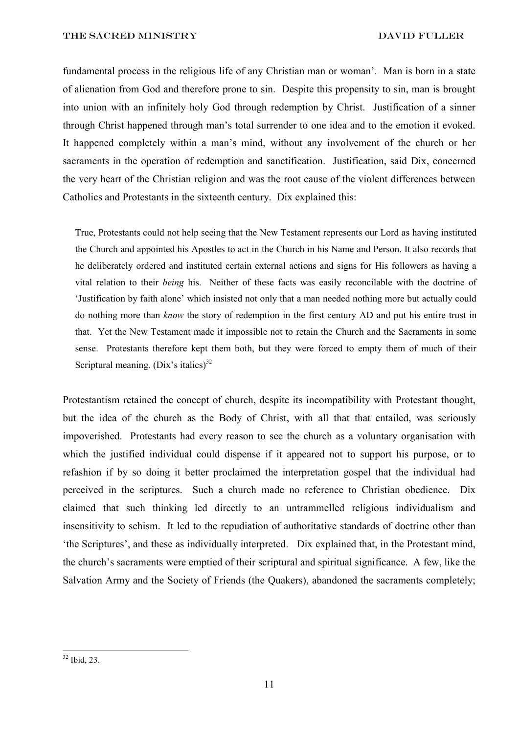THE SACRED MINISTRY DAVID FULLER

fundamental process in the religious life of any Christian man or woman'. Man is born in a state of alienation from God and therefore prone to sin. Despite this propensity to sin, man is brought into union with an infinitely holy God through redemption by Christ. Justification of a sinner through Christ happened through man's total surrender to one idea and to the emotion it evoked. It happened completely within a man's mind, without any involvement of the church or her sacraments in the operation of redemption and sanctification. Justification, said Dix, concerned the very heart of the Christian religion and was the root cause of the violent differences between Catholics and Protestants in the sixteenth century. Dix explained this:

True, Protestants could not help seeing that the New Testament represents our Lord as having instituted the Church and appointed his Apostles to act in the Church in his Name and Person. It also records that he deliberately ordered and instituted certain external actions and signs for His followers as having a vital relation to their *being* his. Neither of these facts was easily reconcilable with the doctrine of 'Justification by faith alone' which insisted not only that a man needed nothing more but actually could do nothing more than *know* the story of redemption in the first century AD and put his entire trust in that. Yet the New Testament made it impossible not to retain the Church and the Sacraments in some sense. Protestants therefore kept them both, but they were forced to empty them of much of their Scriptural meaning.  $(Dix's$  italics)<sup>32</sup>

Protestantism retained the concept of church, despite its incompatibility with Protestant thought, but the idea of the church as the Body of Christ, with all that that entailed, was seriously impoverished. Protestants had every reason to see the church as a voluntary organisation with which the justified individual could dispense if it appeared not to support his purpose, or to refashion if by so doing it better proclaimed the interpretation gospel that the individual had perceived in the scriptures. Such a church made no reference to Christian obedience. Dix claimed that such thinking led directly to an untrammelled religious individualism and insensitivity to schism. It led to the repudiation of authoritative standards of doctrine other than 'the Scriptures', and these as individually interpreted. Dix explained that, in the Protestant mind, the church's sacraments were emptied of their scriptural and spiritual significance. A few, like the Salvation Army and the Society of Friends (the Quakers), abandoned the sacraments completely;

 $32$  Ibid, 23.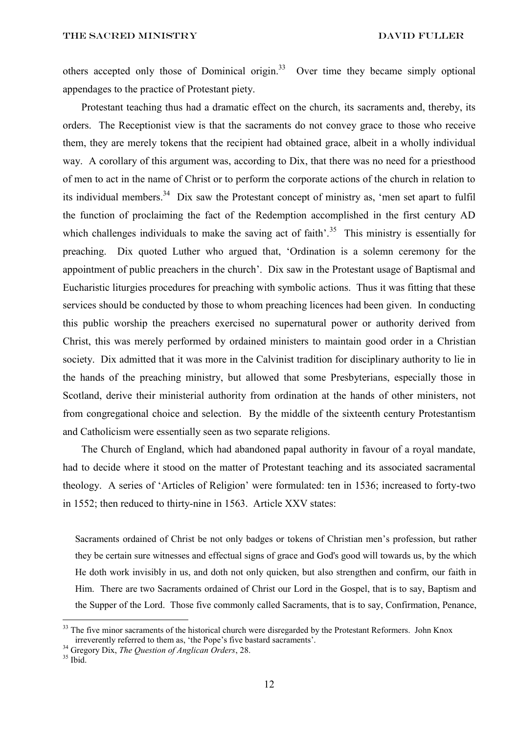others accepted only those of Dominical origin.<sup>33</sup> Over time they became simply optional appendages to the practice of Protestant piety.

Protestant teaching thus had a dramatic effect on the church, its sacraments and, thereby, its orders. The Receptionist view is that the sacraments do not convey grace to those who receive them, they are merely tokens that the recipient had obtained grace, albeit in a wholly individual way. A corollary of this argument was, according to Dix, that there was no need for a priesthood of men to act in the name of Christ or to perform the corporate actions of the church in relation to its individual members.<sup>34</sup> Dix saw the Protestant concept of ministry as, 'men set apart to fulfil the function of proclaiming the fact of the Redemption accomplished in the first century AD which challenges individuals to make the saving act of faith'.<sup>35</sup> This ministry is essentially for preaching. Dix quoted Luther who argued that, 'Ordination is a solemn ceremony for the appointment of public preachers in the church'. Dix saw in the Protestant usage of Baptismal and Eucharistic liturgies procedures for preaching with symbolic actions. Thus it was fitting that these services should be conducted by those to whom preaching licences had been given. In conducting this public worship the preachers exercised no supernatural power or authority derived from Christ, this was merely performed by ordained ministers to maintain good order in a Christian society. Dix admitted that it was more in the Calvinist tradition for disciplinary authority to lie in the hands of the preaching ministry, but allowed that some Presbyterians, especially those in Scotland, derive their ministerial authority from ordination at the hands of other ministers, not from congregational choice and selection. By the middle of the sixteenth century Protestantism and Catholicism were essentially seen as two separate religions.

The Church of England, which had abandoned papal authority in favour of a royal mandate, had to decide where it stood on the matter of Protestant teaching and its associated sacramental theology. A series of 'Articles of Religion' were formulated: ten in 1536; increased to forty-two in 1552; then reduced to thirty-nine in 1563. Article XXV states:

Sacraments ordained of Christ be not only badges or tokens of Christian men's profession, but rather they be certain sure witnesses and effectual signs of grace and God's good will towards us, by the which He doth work invisibly in us, and doth not only quicken, but also strengthen and confirm, our faith in Him. There are two Sacraments ordained of Christ our Lord in the Gospel, that is to say, Baptism and the Supper of the Lord. Those five commonly called Sacraments, that is to say, Confirmation, Penance,

<sup>&</sup>lt;sup>33</sup> The five minor sacraments of the historical church were disregarded by the Protestant Reformers. John Knox irreverently referred to them as, 'the Pope's five bastard sacraments'.

<sup>34</sup> Gregory Dix, *The Question of Anglican Orders*, 28.

 $35$  Ibid.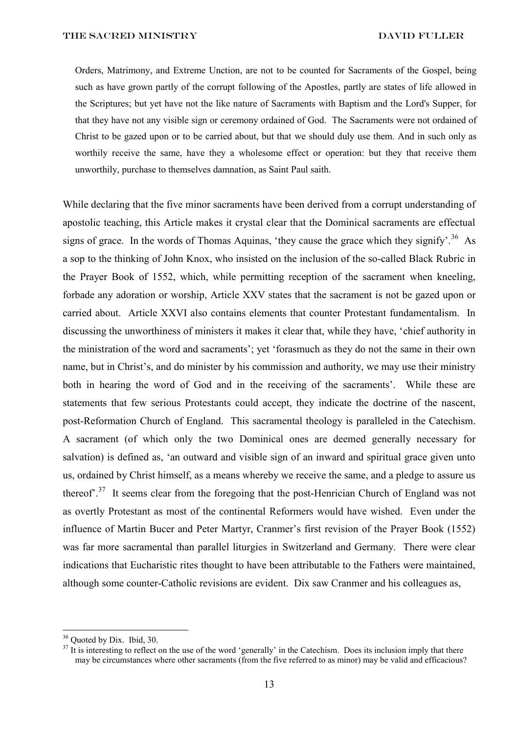Orders, Matrimony, and Extreme Unction, are not to be counted for Sacraments of the Gospel, being such as have grown partly of the corrupt following of the Apostles, partly are states of life allowed in the Scriptures; but yet have not the like nature of Sacraments with Baptism and the Lord's Supper, for that they have not any visible sign or ceremony ordained of God. The Sacraments were not ordained of Christ to be gazed upon or to be carried about, but that we should duly use them. And in such only as worthily receive the same, have they a wholesome effect or operation: but they that receive them unworthily, purchase to themselves damnation, as Saint Paul saith.

While declaring that the five minor sacraments have been derived from a corrupt understanding of apostolic teaching, this Article makes it crystal clear that the Dominical sacraments are effectual signs of grace. In the words of Thomas Aquinas, 'they cause the grace which they signify'.<sup>36</sup> As a sop to the thinking of John Knox, who insisted on the inclusion of the so-called Black Rubric in the Prayer Book of 1552, which, while permitting reception of the sacrament when kneeling, forbade any adoration or worship, Article XXV states that the sacrament is not be gazed upon or carried about. Article XXVI also contains elements that counter Protestant fundamentalism. In discussing the unworthiness of ministers it makes it clear that, while they have, 'chief authority in the ministration of the word and sacraments'; yet 'forasmuch as they do not the same in their own name, but in Christ's, and do minister by his commission and authority, we may use their ministry both in hearing the word of God and in the receiving of the sacraments'. While these are statements that few serious Protestants could accept, they indicate the doctrine of the nascent, post-Reformation Church of England. This sacramental theology is paralleled in the Catechism. A sacrament (of which only the two Dominical ones are deemed generally necessary for salvation) is defined as, 'an outward and visible sign of an inward and spiritual grace given unto us, ordained by Christ himself, as a means whereby we receive the same, and a pledge to assure us thereof<sup>". 37</sup> It seems clear from the foregoing that the post-Henrician Church of England was not as overtly Protestant as most of the continental Reformers would have wished. Even under the influence of Martin Bucer and Peter Martyr, Cranmer's first revision of the Prayer Book (1552) was far more sacramental than parallel liturgies in Switzerland and Germany. There were clear indications that Eucharistic rites thought to have been attributable to the Fathers were maintained, although some counter-Catholic revisions are evident. Dix saw Cranmer and his colleagues as,

<sup>36</sup> Quoted by Dix. Ibid, 30.

 $37$  It is interesting to reflect on the use of the word 'generally' in the Catechism. Does its inclusion imply that there may be circumstances where other sacraments (from the five referred to as minor) may be valid and efficacious?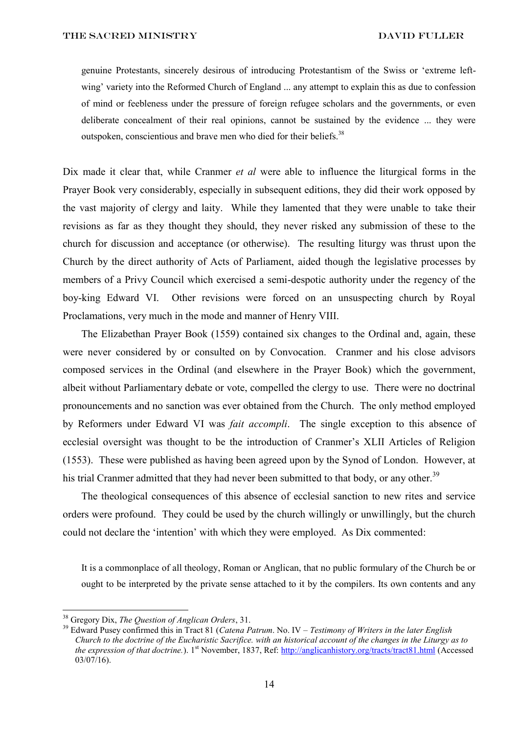genuine Protestants, sincerely desirous of introducing Protestantism of the Swiss or 'extreme leftwing' variety into the Reformed Church of England ... any attempt to explain this as due to confession of mind or feebleness under the pressure of foreign refugee scholars and the governments, or even deliberate concealment of their real opinions, cannot be sustained by the evidence ... they were outspoken, conscientious and brave men who died for their beliefs.<sup>38</sup>

Dix made it clear that, while Cranmer *et al* were able to influence the liturgical forms in the Prayer Book very considerably, especially in subsequent editions, they did their work opposed by the vast majority of clergy and laity. While they lamented that they were unable to take their revisions as far as they thought they should, they never risked any submission of these to the church for discussion and acceptance (or otherwise). The resulting liturgy was thrust upon the Church by the direct authority of Acts of Parliament, aided though the legislative processes by members of a Privy Council which exercised a semi-despotic authority under the regency of the boy-king Edward VI. Other revisions were forced on an unsuspecting church by Royal Proclamations, very much in the mode and manner of Henry VIII.

The Elizabethan Prayer Book (1559) contained six changes to the Ordinal and, again, these were never considered by or consulted on by Convocation. Cranmer and his close advisors composed services in the Ordinal (and elsewhere in the Prayer Book) which the government, albeit without Parliamentary debate or vote, compelled the clergy to use. There were no doctrinal pronouncements and no sanction was ever obtained from the Church. The only method employed by Reformers under Edward VI was *fait accompli*. The single exception to this absence of ecclesial oversight was thought to be the introduction of Cranmer's XLII Articles of Religion (1553). These were published as having been agreed upon by the Synod of London. However, at his trial Cranmer admitted that they had never been submitted to that body, or any other.<sup>39</sup>

The theological consequences of this absence of ecclesial sanction to new rites and service orders were profound. They could be used by the church willingly or unwillingly, but the church could not declare the 'intention' with which they were employed. As Dix commented:

It is a commonplace of all theology, Roman or Anglican, that no public formulary of the Church be or ought to be interpreted by the private sense attached to it by the compilers. Its own contents and any

<sup>38</sup> Gregory Dix, *The Question of Anglican Orders*, 31.

<sup>39</sup> Edward Pusey confirmed this in Tract 81 (*Catena Patrum*. No. IV – *Testimony of Writers in the later English Church to the doctrine of the Eucharistic Sacrifice. with an historical account of the changes in the Liturgy as to the expression of that doctrine.*). 1st November, 1837, Ref:<http://anglicanhistory.org/tracts/tract81.html> (Accessed 03/07/16).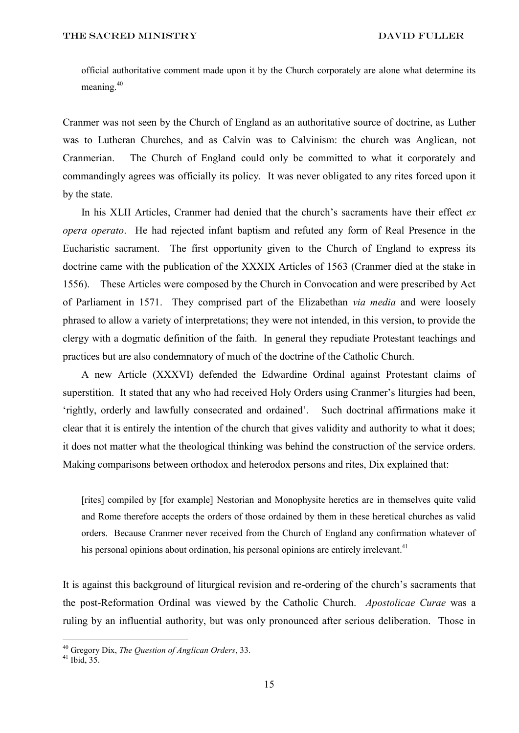official authoritative comment made upon it by the Church corporately are alone what determine its meaning.<sup>40</sup>

Cranmer was not seen by the Church of England as an authoritative source of doctrine, as Luther was to Lutheran Churches, and as Calvin was to Calvinism: the church was Anglican, not Cranmerian. The Church of England could only be committed to what it corporately and commandingly agrees was officially its policy. It was never obligated to any rites forced upon it by the state.

In his XLII Articles, Cranmer had denied that the church's sacraments have their effect *ex opera operato*. He had rejected infant baptism and refuted any form of Real Presence in the Eucharistic sacrament. The first opportunity given to the Church of England to express its doctrine came with the publication of the XXXIX Articles of 1563 (Cranmer died at the stake in 1556). These Articles were composed by the Church in Convocation and were prescribed by Act of Parliament in 1571. They comprised part of the Elizabethan *via media* and were loosely phrased to allow a variety of interpretations; they were not intended, in this version, to provide the clergy with a dogmatic definition of the faith. In general they repudiate Protestant teachings and practices but are also condemnatory of much of the doctrine of the Catholic Church.

A new Article (XXXVI) defended the Edwardine Ordinal against Protestant claims of superstition. It stated that any who had received Holy Orders using Cranmer's liturgies had been, 'rightly, orderly and lawfully consecrated and ordained'. Such doctrinal affirmations make it clear that it is entirely the intention of the church that gives validity and authority to what it does; it does not matter what the theological thinking was behind the construction of the service orders. Making comparisons between orthodox and heterodox persons and rites, Dix explained that:

[rites] compiled by [for example] Nestorian and Monophysite heretics are in themselves quite valid and Rome therefore accepts the orders of those ordained by them in these heretical churches as valid orders. Because Cranmer never received from the Church of England any confirmation whatever of his personal opinions about ordination, his personal opinions are entirely irrelevant.<sup>41</sup>

It is against this background of liturgical revision and re-ordering of the church's sacraments that the post-Reformation Ordinal was viewed by the Catholic Church. *Apostolicae Curae* was a ruling by an influential authority, but was only pronounced after serious deliberation. Those in

<sup>40</sup> Gregory Dix, *The Question of Anglican Orders*, 33.

<sup>41</sup> Ibid, 35.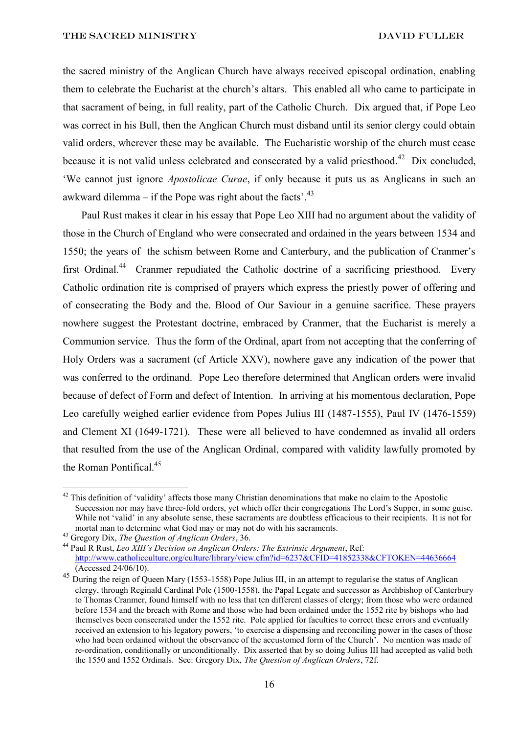the sacred ministry of the Anglican Church have always received episcopal ordination, enabling them to celebrate the Eucharist at the church's altars. This enabled all who came to participate in that sacrament of being, in full reality, part of the Catholic Church. Dix argued that, if Pope Leo was correct in his Bull, then the Anglican Church must disband until its senior clergy could obtain valid orders, wherever these may be available. The Eucharistic worship of the church must cease because it is not valid unless celebrated and consecrated by a valid priesthood.<sup>42</sup> Dix concluded, 'We cannot just ignore *Apostolicae Curae*, if only because it puts us as Anglicans in such an awkward dilemma – if the Pope was right about the facts'. $43$ 

Paul Rust makes it clear in his essay that Pope Leo XIII had no argument about the validity of those in the Church of England who were consecrated and ordained in the years between 1534 and 1550; the years of the schism between Rome and Canterbury, and the publication of Cranmer's first Ordinal.<sup>44</sup> Cranmer repudiated the Catholic doctrine of a sacrificing priesthood. Every Catholic ordination rite is comprised of prayers which express the priestly power of offering and of consecrating the Body and the. Blood of Our Saviour in a genuine sacrifice. These prayers nowhere suggest the Protestant doctrine, embraced by Cranmer, that the Eucharist is merely a Communion service. Thus the form of the Ordinal, apart from not accepting that the conferring of Holy Orders was a sacrament (cf Article XXV), nowhere gave any indication of the power that was conferred to the ordinand. Pope Leo therefore determined that Anglican orders were invalid because of defect of Form and defect of Intention. In arriving at his momentous declaration, Pope Leo carefully weighed earlier evidence from Popes Julius III (1487-1555), Paul IV (1476-1559) and Clement XI (1649-1721). These were all believed to have condemned as invalid all orders that resulted from the use of the Anglican Ordinal, compared with validity lawfully promoted by the Roman Pontifical.<sup>45</sup>

<sup>&</sup>lt;sup>42</sup> This definition of 'validity' affects those many Christian denominations that make no claim to the Apostolic Succession nor may have three-fold orders, yet which offer their congregations The Lord's Supper, in some guise. While not 'valid' in any absolute sense, these sacraments are doubtless efficacious to their recipients. It is not for mortal man to determine what God may or may not do with his sacraments.

<sup>43</sup> Gregory Dix, *The Question of Anglican Orders*, 36.

<sup>44</sup> Paul R Rust, *Leo XIII's Decision on Anglican Orders: The Extrinsic Argument*, Ref: <http://www.catholicculture.org/culture/library/view.cfm?id=6237&CFID=41852338&CFTOKEN=44636664> (Accessed 24/06/10).

<sup>45</sup> During the reign of Queen Mary (1553-1558) Pope Julius III, in an attempt to regularise the status of Anglican clergy, through Reginald Cardinal Pole (1500-1558), the Papal Legate and successor as Archbishop of Canterbury to Thomas Cranmer, found himself with no less that ten different classes of clergy; from those who were ordained before 1534 and the breach with Rome and those who had been ordained under the 1552 rite by bishops who had themselves been consecrated under the 1552 rite. Pole applied for faculties to correct these errors and eventually received an extension to his legatory powers, 'to exercise a dispensing and reconciling power in the cases of those who had been ordained without the observance of the accustomed form of the Church'. No mention was made of re-ordination, conditionally or unconditionally. Dix asserted that by so doing Julius III had accepted as valid both the 1550 and 1552 Ordinals. See: Gregory Dix, *The Question of Anglican Orders*, 72f.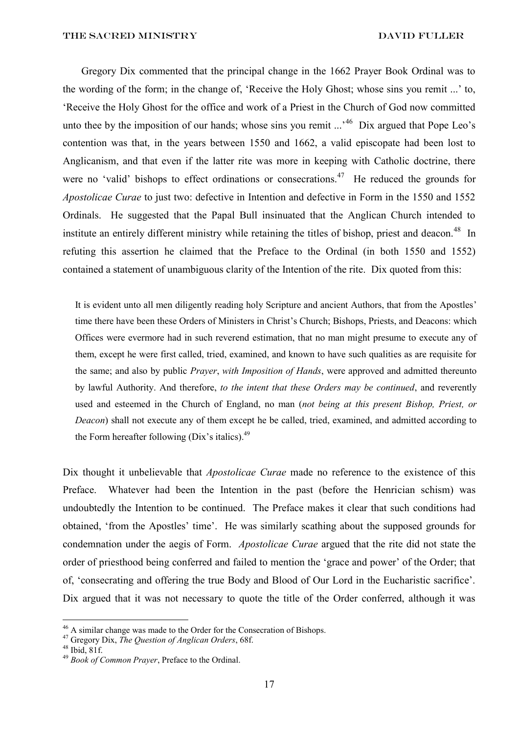Gregory Dix commented that the principal change in the 1662 Prayer Book Ordinal was to the wording of the form; in the change of, 'Receive the Holy Ghost; whose sins you remit ...' to, 'Receive the Holy Ghost for the office and work of a Priest in the Church of God now committed unto thee by the imposition of our hands; whose sins you remit  $\cdots$ <sup>46</sup> Dix argued that Pope Leo's contention was that, in the years between 1550 and 1662, a valid episcopate had been lost to Anglicanism, and that even if the latter rite was more in keeping with Catholic doctrine, there were no 'valid' bishops to effect ordinations or consecrations.<sup>47</sup> He reduced the grounds for *Apostolicae Curae* to just two: defective in Intention and defective in Form in the 1550 and 1552 Ordinals. He suggested that the Papal Bull insinuated that the Anglican Church intended to institute an entirely different ministry while retaining the titles of bishop, priest and deacon.<sup>48</sup> In refuting this assertion he claimed that the Preface to the Ordinal (in both 1550 and 1552) contained a statement of unambiguous clarity of the Intention of the rite. Dix quoted from this:

It is evident unto all men diligently reading holy Scripture and ancient Authors, that from the Apostles' time there have been these Orders of Ministers in Christ's Church; Bishops, Priests, and Deacons: which Offices were evermore had in such reverend estimation, that no man might presume to execute any of them, except he were first called, tried, examined, and known to have such qualities as are requisite for the same; and also by public *Prayer*, *with Imposition of Hands*, were approved and admitted thereunto by lawful Authority. And therefore, *to the intent that these Orders may be continued*, and reverently used and esteemed in the Church of England, no man (*not being at this present Bishop, Priest, or Deacon*) shall not execute any of them except he be called, tried, examined, and admitted according to the Form hereafter following  $(Dix's$  italics).<sup>49</sup>

Dix thought it unbelievable that *Apostolicae Curae* made no reference to the existence of this Preface. Whatever had been the Intention in the past (before the Henrician schism) was undoubtedly the Intention to be continued. The Preface makes it clear that such conditions had obtained, 'from the Apostles' time'. He was similarly scathing about the supposed grounds for condemnation under the aegis of Form. *Apostolicae Curae* argued that the rite did not state the order of priesthood being conferred and failed to mention the 'grace and power' of the Order; that of, 'consecrating and offering the true Body and Blood of Our Lord in the Eucharistic sacrifice'. Dix argued that it was not necessary to quote the title of the Order conferred, although it was

<sup>&</sup>lt;sup>46</sup> A similar change was made to the Order for the Consecration of Bishops.

<sup>47</sup> Gregory Dix, *The Question of Anglican Orders*, 68f.

<sup>48</sup> Ibid, 81f.

<sup>49</sup> *Book of Common Prayer*, Preface to the Ordinal.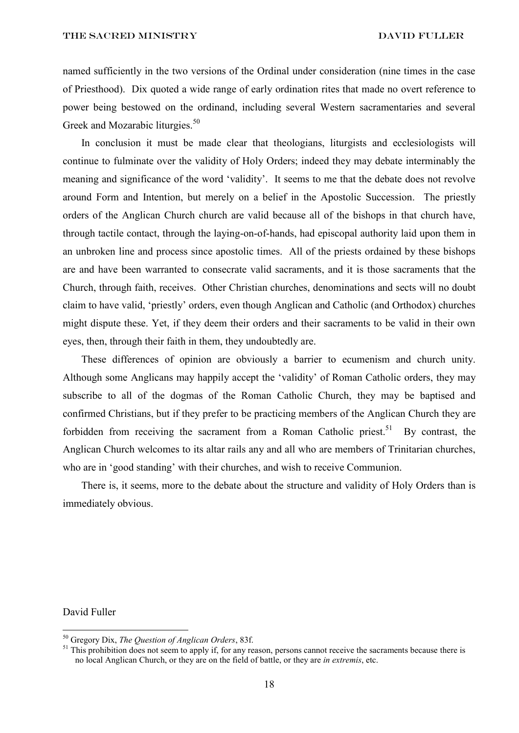named sufficiently in the two versions of the Ordinal under consideration (nine times in the case of Priesthood). Dix quoted a wide range of early ordination rites that made no overt reference to power being bestowed on the ordinand, including several Western sacramentaries and several Greek and Mozarabic liturgies.<sup>50</sup>

In conclusion it must be made clear that theologians, liturgists and ecclesiologists will continue to fulminate over the validity of Holy Orders; indeed they may debate interminably the meaning and significance of the word 'validity'. It seems to me that the debate does not revolve around Form and Intention, but merely on a belief in the Apostolic Succession. The priestly orders of the Anglican Church church are valid because all of the bishops in that church have, through tactile contact, through the laying-on-of-hands, had episcopal authority laid upon them in an unbroken line and process since apostolic times. All of the priests ordained by these bishops are and have been warranted to consecrate valid sacraments, and it is those sacraments that the Church, through faith, receives. Other Christian churches, denominations and sects will no doubt claim to have valid, 'priestly' orders, even though Anglican and Catholic (and Orthodox) churches might dispute these. Yet, if they deem their orders and their sacraments to be valid in their own eyes, then, through their faith in them, they undoubtedly are.

These differences of opinion are obviously a barrier to ecumenism and church unity. Although some Anglicans may happily accept the 'validity' of Roman Catholic orders, they may subscribe to all of the dogmas of the Roman Catholic Church, they may be baptised and confirmed Christians, but if they prefer to be practicing members of the Anglican Church they are forbidden from receiving the sacrament from a Roman Catholic priest.<sup>51</sup> By contrast, the Anglican Church welcomes to its altar rails any and all who are members of Trinitarian churches, who are in 'good standing' with their churches, and wish to receive Communion.

There is, it seems, more to the debate about the structure and validity of Holy Orders than is immediately obvious.

## David Fuller

<sup>50</sup> Gregory Dix, *The Question of Anglican Orders*, 83f.

 $51$  This prohibition does not seem to apply if, for any reason, persons cannot receive the sacraments because there is no local Anglican Church, or they are on the field of battle, or they are *in extremis*, etc.